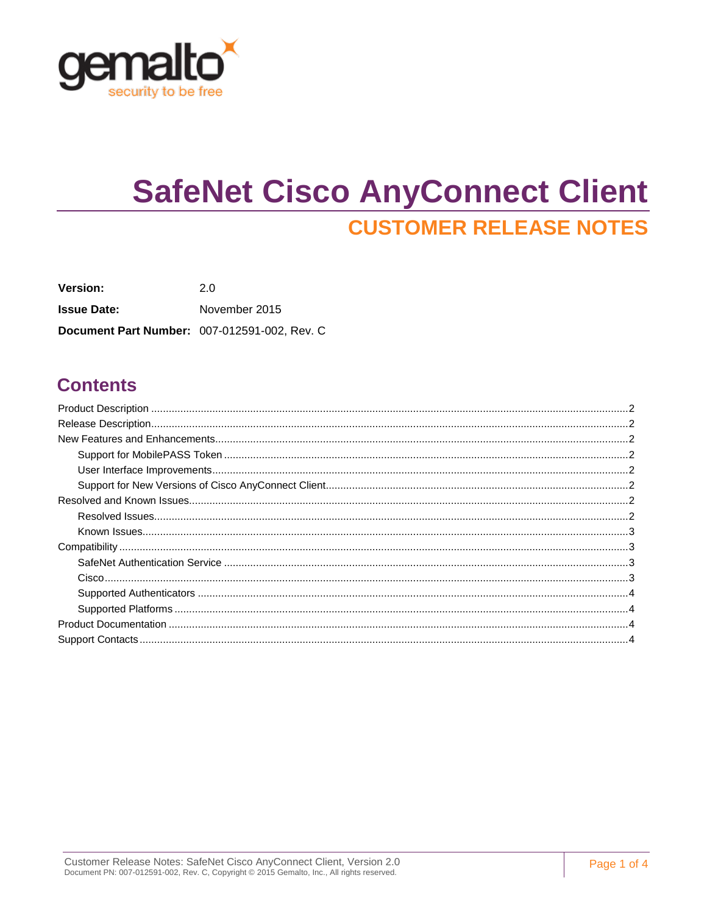

# **SafeNet Cisco AnyConnect Client CUSTOMER RELEASE NOTES**

Version:  $2.0$ **Issue Date:** November 2015 Document Part Number: 007-012591-002, Rev. C

### **Contents**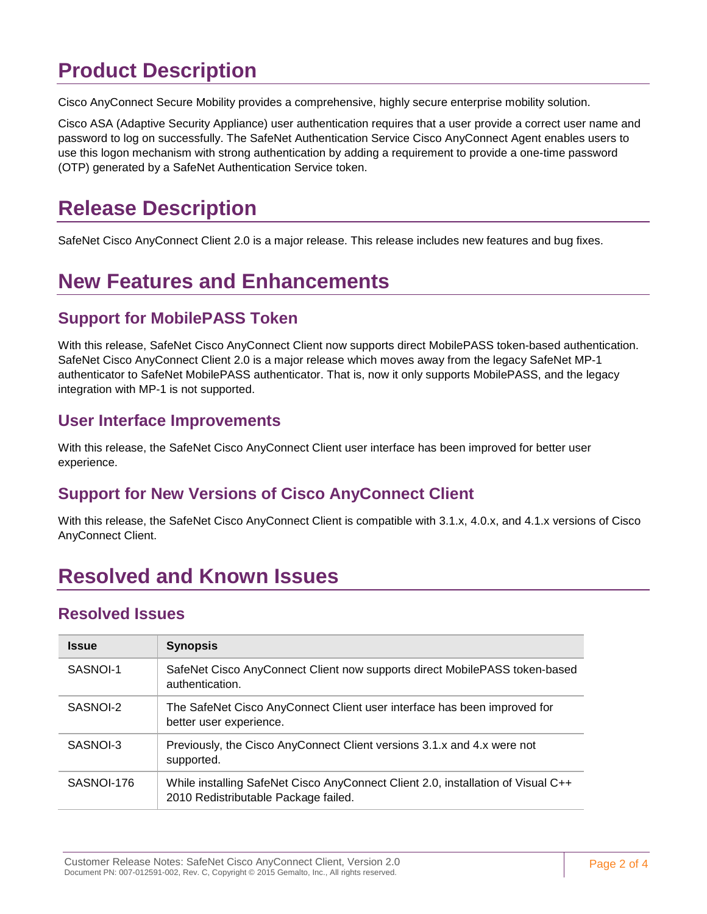# <span id="page-1-0"></span>**Product Description**

Cisco AnyConnect Secure Mobility provides a comprehensive, highly secure enterprise mobility solution.

Cisco ASA (Adaptive Security Appliance) user authentication requires that a user provide a correct user name and password to log on successfully. The SafeNet Authentication Service Cisco AnyConnect Agent enables users to use this logon mechanism with strong authentication by adding a requirement to provide a one-time password (OTP) generated by a SafeNet Authentication Service token.

# <span id="page-1-1"></span>**Release Description**

SafeNet Cisco AnyConnect Client 2.0 is a major release. This release includes new features and bug fixes.

# <span id="page-1-2"></span>**New Features and Enhancements**

### <span id="page-1-3"></span>**Support for MobilePASS Token**

With this release, SafeNet Cisco AnyConnect Client now supports direct MobilePASS token-based authentication. SafeNet Cisco AnyConnect Client 2.0 is a major release which moves away from the legacy SafeNet MP-1 authenticator to SafeNet MobilePASS authenticator. That is, now it only supports MobilePASS, and the legacy integration with MP-1 is not supported.

#### <span id="page-1-4"></span>**User Interface Improvements**

With this release, the SafeNet Cisco AnyConnect Client user interface has been improved for better user experience.

### <span id="page-1-5"></span>**Support for New Versions of Cisco AnyConnect Client**

With this release, the SafeNet Cisco AnyConnect Client is compatible with 3.1.x, 4.0.x, and 4.1.x versions of Cisco AnyConnect Client.

## <span id="page-1-6"></span>**Resolved and Known Issues**

#### <span id="page-1-7"></span>**Resolved Issues**

| <b>Issue</b> | <b>Synopsis</b>                                                                                                          |  |
|--------------|--------------------------------------------------------------------------------------------------------------------------|--|
| SASNOI-1     | SafeNet Cisco AnyConnect Client now supports direct MobilePASS token-based<br>authentication.                            |  |
| SASNOI-2     | The SafeNet Cisco AnyConnect Client user interface has been improved for<br>better user experience.                      |  |
| SASNOI-3     | Previously, the Cisco AnyConnect Client versions 3.1.x and 4.x were not<br>supported.                                    |  |
| SASNOI-176   | While installing SafeNet Cisco AnyConnect Client 2.0, installation of Visual C++<br>2010 Redistributable Package failed. |  |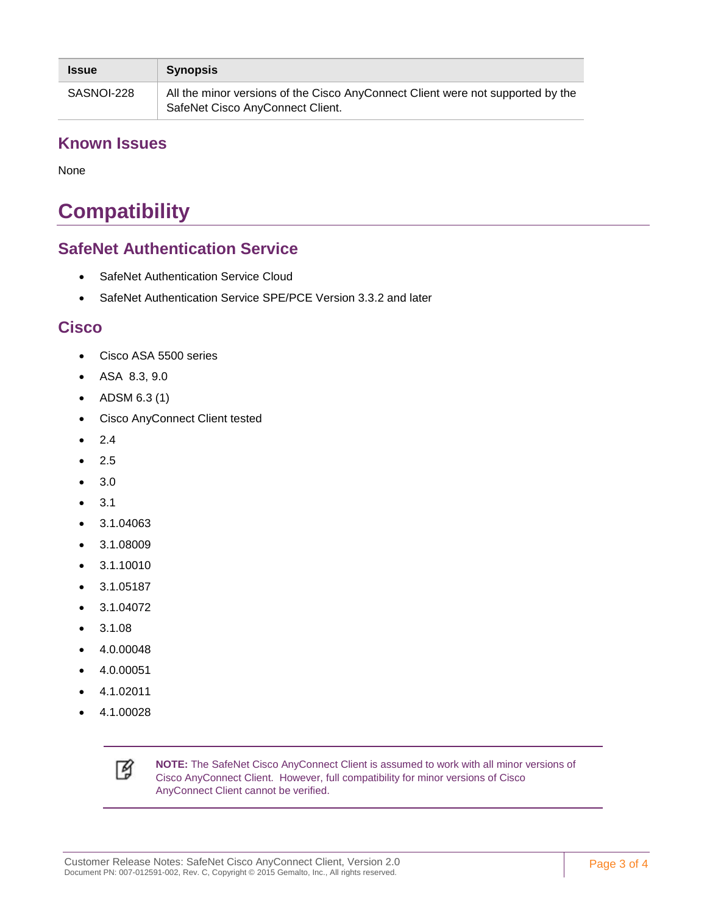| <b>Issue</b> | <b>Synopsis</b>                                                                                                     |
|--------------|---------------------------------------------------------------------------------------------------------------------|
| SASNOI-228   | All the minor versions of the Cisco AnyConnect Client were not supported by the<br>SafeNet Cisco AnyConnect Client. |

#### <span id="page-2-0"></span>**Known Issues**

None

# <span id="page-2-1"></span>**Compatibility**

### <span id="page-2-2"></span>**SafeNet Authentication Service**

- SafeNet Authentication Service Cloud
- SafeNet Authentication Service SPE/PCE Version 3.3.2 and later

### <span id="page-2-3"></span>**Cisco**

- Cisco ASA 5500 series
- ASA 8.3, 9.0
- ADSM 6.3 (1)
- Cisco AnyConnect Client tested
- 2.4
- 2.5
- 3.0
- 3.1
- 3.1.04063
- 3.1.08009
- 3.1.10010
- 3.1.05187
- 3.1.04072
- 3.1.08
- 4.0.00048
- 4.0.00051
- 4.1.02011
- 4.1.00028



**NOTE:** The SafeNet Cisco AnyConnect Client is assumed to work with all minor versions of Cisco AnyConnect Client. However, full compatibility for minor versions of Cisco AnyConnect Client cannot be verified.